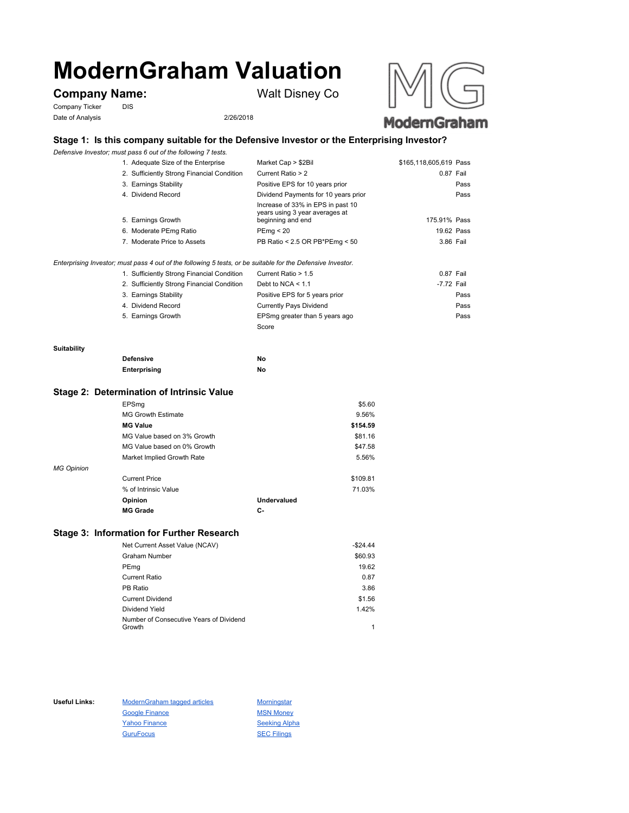# **ModernGraham Valuation**

# **Company Name:** Walt Disney Co

Company Ticker DIS Date of Analysis 2/26/2018





# **Stage 1: Is this company suitable for the Defensive Investor or the Enterprising Investor?**

*Defensive Investor; must pass 6 out of the following 7 tests.*

| 1. Adequate Size of the Enterprise                                               | Market Cap > \$2Bil                                                                      | \$165,118,605,619 Pass |
|----------------------------------------------------------------------------------|------------------------------------------------------------------------------------------|------------------------|
| 2. Sufficiently Strong Financial Condition                                       | Current Ratio > 2                                                                        | 0.87 Fail              |
| 3. Earnings Stability                                                            | Positive EPS for 10 years prior                                                          | Pass                   |
| 4. Dividend Record                                                               | Dividend Payments for 10 years prior                                                     | Pass                   |
| 5. Earnings Growth                                                               | Increase of 33% in EPS in past 10<br>years using 3 year averages at<br>beginning and end | 175.91% Pass           |
| 6. Moderate PEmg Ratio                                                           | PEmq < 20                                                                                | 19.62 Pass             |
| 7. Moderate Price to Assets                                                      | PB Ratio < 2.5 OR PB*PEmg < 50                                                           | 3.86 Fail              |
| dan mud saas 4 sid stiks telleidse Eitate, suks sidekle terike Detension leister |                                                                                          |                        |

*Enterprising Investor; must pass 4 out of the following 5 tests, or be suitable for the Defensive Investor.*

| 1. Sufficiently Strong Financial Condition | Current Ratio > 1.5            | 0.87 Fail  |
|--------------------------------------------|--------------------------------|------------|
| 2. Sufficiently Strong Financial Condition | Debt to NCA $<$ 1.1            | -7.72 Fail |
| 3. Earnings Stability                      | Positive EPS for 5 years prior | Pass       |
| 4. Dividend Record                         | <b>Currently Pays Dividend</b> | Pass       |
| 5. Earnings Growth                         | EPSmg greater than 5 years ago | Pass       |
|                                            | Score                          |            |

#### **Suitability**

| <b>Defensive</b> | No |
|------------------|----|
| Enterprising     | No |

#### **Stage 2: Determination of Intrinsic Value**

|                   | EPSmg                       |                    | \$5.60   |
|-------------------|-----------------------------|--------------------|----------|
|                   | <b>MG Growth Estimate</b>   |                    | 9.56%    |
|                   | <b>MG Value</b>             |                    | \$154.59 |
|                   | MG Value based on 3% Growth |                    | \$81.16  |
|                   | MG Value based on 0% Growth |                    | \$47.58  |
|                   | Market Implied Growth Rate  |                    | 5.56%    |
| <b>MG Opinion</b> |                             |                    |          |
|                   | <b>Current Price</b>        |                    | \$109.81 |
|                   | % of Intrinsic Value        |                    | 71.03%   |
|                   | Opinion                     | <b>Undervalued</b> |          |
|                   | <b>MG Grade</b>             | С-                 |          |
|                   |                             |                    |          |

## **Stage 3: Information for Further Research**

| Net Current Asset Value (NCAV)          | $-$24.44$ |
|-----------------------------------------|-----------|
| Graham Number                           | \$60.93   |
| PEmg                                    | 19.62     |
| Current Ratio                           | 0.87      |
| PB Ratio                                | 3.86      |
| <b>Current Dividend</b>                 | \$1.56    |
| Dividend Yield                          | 1.42%     |
| Number of Consecutive Years of Dividend |           |
| Growth                                  | 1         |

Useful Links: ModernGraham tagged articles Morningstar Google Finance MSN Money Yahoo Finance Seeking Alpha GuruFocus SEC Filings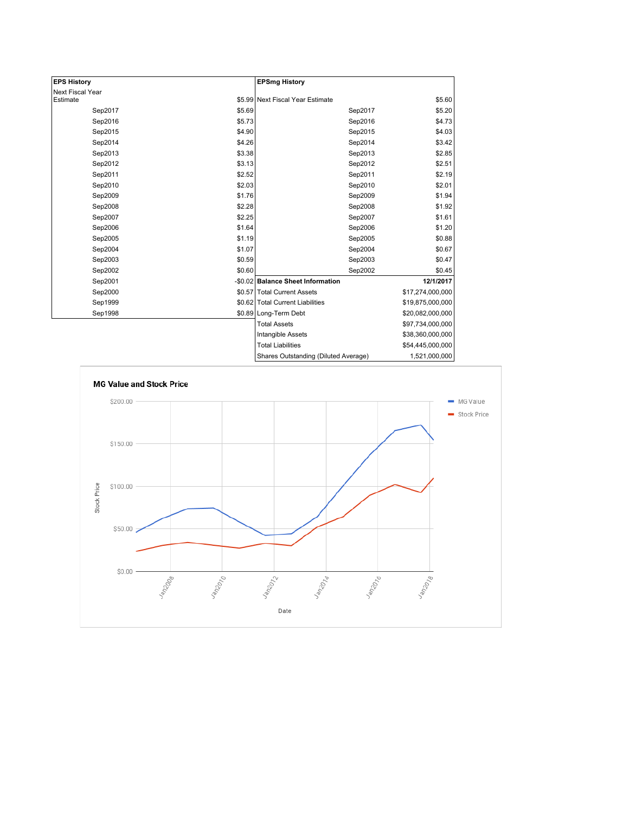| <b>EPS History</b> |        | <b>EPSmg History</b>                 |                  |
|--------------------|--------|--------------------------------------|------------------|
| Next Fiscal Year   |        |                                      |                  |
| Estimate           |        | \$5.99 Next Fiscal Year Estimate     | \$5.60           |
| Sep2017            | \$5.69 | Sep2017                              | \$5.20           |
| Sep2016            | \$5.73 | Sep2016                              | \$4.73           |
| Sep2015            | \$4.90 | Sep2015                              | \$4.03           |
| Sep2014            | \$4.26 | Sep2014                              | \$3.42           |
| Sep2013            | \$3.38 | Sep2013                              | \$2.85           |
| Sep2012            | \$3.13 | Sep2012                              | \$2.51           |
| Sep2011            | \$2.52 | Sep2011                              | \$2.19           |
| Sep2010            | \$2.03 | Sep2010                              | \$2.01           |
| Sep2009            | \$1.76 | Sep2009                              | \$1.94           |
| Sep2008            | \$2.28 | Sep2008                              | \$1.92           |
| Sep2007            | \$2.25 | Sep2007                              | \$1.61           |
| Sep2006            | \$1.64 | Sep2006                              | \$1.20           |
| Sep2005            | \$1.19 | Sep2005                              | \$0.88           |
| Sep2004            | \$1.07 | Sep2004                              | \$0.67           |
| Sep2003            | \$0.59 | Sep2003                              | \$0.47           |
| Sep2002            | \$0.60 | Sep2002                              | \$0.45           |
| Sep2001            |        | -\$0.02 Balance Sheet Information    | 12/1/2017        |
| Sep2000            |        | \$0.57 Total Current Assets          | \$17,274,000,000 |
| Sep1999            |        | \$0.62 Total Current Liabilities     | \$19,875,000,000 |
| Sep1998            |        | \$0.89 Long-Term Debt                | \$20,082,000,000 |
|                    |        | <b>Total Assets</b>                  | \$97,734,000,000 |
|                    |        | Intangible Assets                    | \$38,360,000,000 |
|                    |        | <b>Total Liabilities</b>             | \$54,445,000,000 |
|                    |        | Charge Qutetanding (Diluted Average) | 1.521.000.000    |